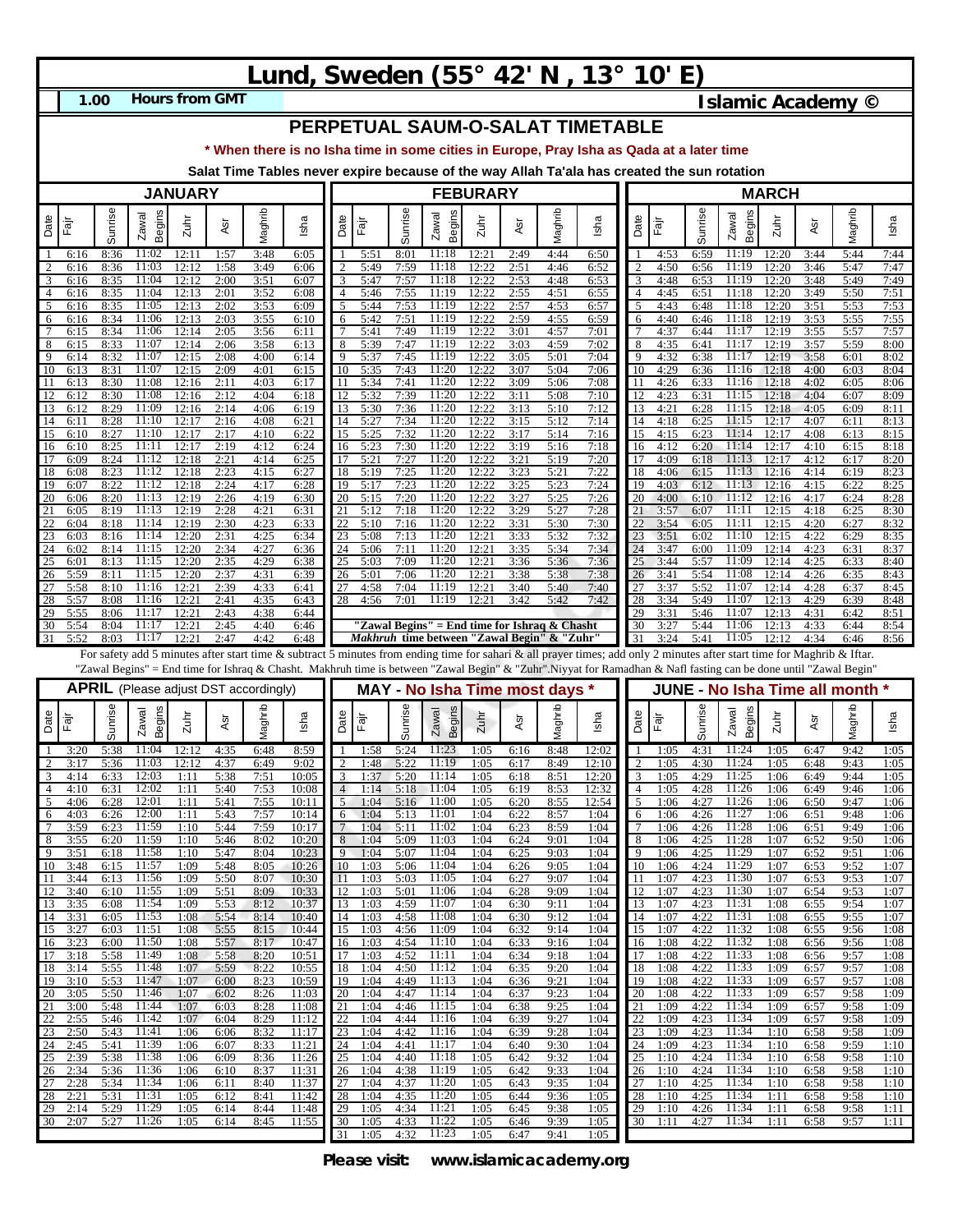## **Lund, Sweden (55° 42' N , 13° 10' E)**

**1.00**

**Hours from GMT Islamic Academy ©** 

**PERPETUAL SAUM-O-SALAT TIMETABLE**

**\* When there is no Isha time in some cities in Europe, Pray Isha as Qada at a later time**

**Salat Time Tables never expire because of the way Allah Ta'ala has created the sun rotation**

| <b>JANUARY</b>        |                      |                      |                                                                                                                                                                         |                      |                      |                      |                         | <b>FEBURARY</b> |                      |                      |                                                                                                     |                      |                      |                      |                                                                                                                                                                  | <b>MARCH</b>        |                      |                      |                         |                      |                      |                                      |                      |
|-----------------------|----------------------|----------------------|-------------------------------------------------------------------------------------------------------------------------------------------------------------------------|----------------------|----------------------|----------------------|-------------------------|-----------------|----------------------|----------------------|-----------------------------------------------------------------------------------------------------|----------------------|----------------------|----------------------|------------------------------------------------------------------------------------------------------------------------------------------------------------------|---------------------|----------------------|----------------------|-------------------------|----------------------|----------------------|--------------------------------------|----------------------|
| Date                  | .<br>स्थि            | Sunrise              | Begins<br>Zawal                                                                                                                                                         | $2$ uhi              | Asr                  | Maghrib              | Isha                    | Date            | .<br>मैंग<br>स्थि    | Sunrise              | Begins<br>Zawal                                                                                     | Zuhr                 | Asr                  | Maghrib              | Isha                                                                                                                                                             | Date                | Ēā                   | Sunrise              | <b>Begins</b><br>Zawal  | Zuhr                 | Asr                  | Maghrib                              | Isha                 |
| -1                    | 6:16                 | 8:36                 | 11:02                                                                                                                                                                   | 12:11                | 1:57                 | 3:48                 | 6:05                    |                 | 5:51                 | 8:01                 | 11:18                                                                                               | 12:21                | 2:49                 | 4:44                 | 6:50                                                                                                                                                             |                     | 4:53                 | 6:59                 | 11:19                   | 12:20                | 3:44                 | 5:44                                 | 7:44                 |
| 2<br>3                | 6:16<br>6:16         | 8:36<br>8:35         | 11:03<br>11:04                                                                                                                                                          | 12:12<br>12:12       | 1:58<br>2:00         | 3:49<br>3:51         | 6:06<br>6:07            | 2               | 5:49<br>5:47         | 7:59<br>7:57         | 11:18<br>11:18                                                                                      | 12:22<br>12:22       | 2:51<br>2:53         | 4:46<br>4:48         | 6:52<br>6:53                                                                                                                                                     | 2<br>3              | 4:50<br>4:48         | 6:56<br>6:53         | 11:19<br>11:19          | 12:20<br>12:20       | 3:46<br>3:48         | 5:47<br>5:49                         | 7:47<br>7:49         |
| $\overline{4}$        | 6:16                 | 8:35                 | 11:04                                                                                                                                                                   | 12:13                | 2:01                 | 3:52                 | 6:08                    | 4               | 5:46                 | 7:55                 | <b>11:19</b>                                                                                        | 12:22                | 2:55                 | 4:51                 | 6:55                                                                                                                                                             | $\overline{4}$      | 4:45                 | 6:51                 | 11:18                   | 12:20                | 3:49                 | 5:50                                 | 7:51                 |
| 5<br>6                | 6:16<br>6:16         | 8:35<br>8:34         | 11:05<br>11:06                                                                                                                                                          | 12:13<br>12:13       | 2:02<br>2:03         | 3:53<br>3:55         | 6:09<br>6:10            | 5<br>6          | 5:44<br>5:42         | 7:53<br>7:51         | 11:19<br>11:19                                                                                      | 12:22<br>12:22       | 2:57<br>2:59         | 4:53<br>4:55         | 6:57<br>6:59                                                                                                                                                     | 5<br>6              | 4:43<br>4:40         | 6:48<br>6:46         | 11:18<br>11:18          | 12:20<br>12:19       | 3:51<br>3:53         | 5:53<br>5:55                         | 7:53<br>7:55         |
| $\overline{7}$<br>8   | 6:15                 | 8:34                 | 11:06<br>11:07                                                                                                                                                          | 12:14                | 2:05                 | 3:56                 | 6:11                    | 8               | 5:41                 | 7:49                 | 11:19<br>11:19                                                                                      | 12:22<br>12:22       | 3:01<br>3:03         | 4:57<br>4:59         | 7:01<br>7:02                                                                                                                                                     | 8                   | 4:37                 | 6:44                 | 11:17<br>11:17          | 12:19                | 3:55                 | 5:57                                 | 7:57                 |
| $\overline{9}$        | 6:15<br>6:14         | 8:33<br>8:32         | 11:07                                                                                                                                                                   | 12:14<br>12:15       | 2:06<br>2:08         | 3:58<br>4:00         | 6:13<br>6:14            | 9               | 5:39<br>5:37         | 7:47<br>7:45         | 11:19                                                                                               | 12:22                | 3:05                 | 5:01                 | 7:04                                                                                                                                                             | 9                   | 4:35<br>4:32         | 6:41<br>6:38         | 11:17                   | 12:19<br>12:19       | 3:57<br>3:58         | 5:59<br>6:01                         | 8:00<br>8:02         |
| 10<br>11              | 6:13<br>6:13         | 8:31<br>8:30         | 11:07<br>11:08                                                                                                                                                          | 12:15<br>12:16       | 2:09<br>2:11         | 4:01<br>4:03         | 6:15<br>6:17            | 10              | 5:35<br>5:34         | 7:43<br>7:41         | 11:20<br>11:20                                                                                      | 12:22<br>12:22       | 3:07<br>3:09         | 5:04<br>5:06         | 7:06<br>7:08                                                                                                                                                     | 10<br>11            | 4:29<br>4:26         | 6:36<br>6:33         | 11:16<br>11:16          | 12:18<br>12:18       | 4:00<br>4:02         | 6:03<br>6:05                         | 8:04<br>8:06         |
| 12                    | 6:12                 | 8:30                 | 11:08                                                                                                                                                                   | 12:16                | 2:12                 | 4:04                 | 6:18                    | 12              | 5:32                 | 7:39                 | 11:20                                                                                               | 12:22                | 3:11                 | 5:08                 | 7:10                                                                                                                                                             | 12                  | 4:23                 | 6:31                 | 11:15                   | 12:18                | 4:04                 | 6:07                                 | 8:09                 |
| 13<br>14              | 6:12<br>6:1          | 8:29<br>8:28         | 11:09<br>11:10                                                                                                                                                          | 12:16<br>12:17       | 2:14<br>2:16         | 4:06<br>4:08         | 6:19<br>6:21            | 13<br>14        | 5:30<br>5:27         | 7:36<br>7:34         | 11:20<br>11:20                                                                                      | 12:22<br>12:22       | 3:13<br>3:15         | 5:10<br>5:12         | 7:12<br>7:14                                                                                                                                                     | 13<br>14            | 4:21<br>4:18         | 6:28<br>6:25         | 11:15<br>11:15          | 12:18<br>12:17       | 4:05<br>4:07         | 6:09<br>6:11                         | 8:11<br>8:13         |
| 15                    | 6:10                 | 8:27                 | 11:10                                                                                                                                                                   | 12:17                | 2:17                 | 4:10                 | 6:22                    | 15              | 5:25                 | 7:32                 | 11:20                                                                                               | 12:22                | 3:17                 | 5:14                 | 7:16                                                                                                                                                             | 15                  | 4:15                 | 6:23                 | 11:14                   | 12:17                | 4:08                 | 6:13                                 | 8:15                 |
| 16<br>17              | 6:10<br>6:09         | 8:25<br>8:24         | 11:11<br>11:12                                                                                                                                                          | 12:17<br>12:18       | 2:19<br>2:21         | 4:12<br>4:14         | 6:24<br>6:25            | 16<br>17        | 5:23<br>5:2          | 7:30<br>7:27         | 11:20<br>11:20                                                                                      | 12:22<br>12:22       | 3:19<br>3:21         | 5:16<br>5:19         | 7:18<br>7:20                                                                                                                                                     | 16<br>17            | 4:12<br>4:09         | 6:20<br>6:18         | 11:14<br>11:13          | 12:17<br>12:17       | 4:10<br>4:12         | 6:15<br>6:17                         | 8:18<br>8:20         |
| 18                    | 6:08                 | 8:23                 | 11:12                                                                                                                                                                   | 12:18                | 2:23                 | 4:15                 | 6:27                    | 18              | 5:19                 | 7:25                 | 11:20                                                                                               | 12:22                | 3:23                 | 5:21                 | 7:22                                                                                                                                                             | 18                  | 4:06                 | 6:15                 | 11:13                   | 12:16                | 4:14                 | 6:19                                 | 8:23                 |
| 19<br>20              | 6:07<br>6:06         | 8:22<br>8:20         | 11:12<br>11:13                                                                                                                                                          | 12:18<br>12:19       | 2:24<br>2:26         | 4:17<br>4:19         | 6:28<br>6:30            | 19<br>20        | 5:17<br>5:15         | 7:23<br>7:20         | 11:20<br>11:20                                                                                      | 12:22<br>12:22       | 3:25<br>3:27         | 5:23<br>5:25         | 7:24<br>7:26                                                                                                                                                     | 19<br>20            | 4:03<br>4:00         | 6:12<br>6:10         | 11:13<br>11:12          | 12:16<br>12:16       | 4:15<br>4:17         | 6:22<br>6:24                         | 8:25<br>8:28         |
| 21                    | 6:05                 | 8:19                 | 11:13                                                                                                                                                                   | 12:19                | 2:28                 | 4:21                 | 6:31                    | 21              | 5:12                 | 7:18                 | 11:20                                                                                               | 12:22                | 3:29                 | 5:27                 | 7:28                                                                                                                                                             | 21                  | 3:57                 | 6:07                 | 11:11                   | 12:15                | 4:18                 | 6:25                                 | 8:30                 |
| 22<br>23              | 6:04<br>6:03         | 8:18<br>8:16         | 11:14<br>11:14                                                                                                                                                          | 12:19<br>12:20       | 2:30<br>2:31         | 4:23<br>4:25         | 6:33<br>6:34            | 23              | 5:10<br>5:08         | 7:16<br>7:13         | 11:20<br>11:20                                                                                      | 12:22<br>12:21       | 3:31<br>3:33         | 5:30<br>5:32         | 7:30<br>7:32                                                                                                                                                     | 22<br>23            | 3:54<br>3:51         | 6:05<br>6:02         | 11:11<br>11:10          | 12:15<br>12:15       | 4:20<br>4:22         | 6:27<br>6:29                         | 8:32<br>8:35         |
| 24                    | 6:02                 | 8:14                 | 11:15                                                                                                                                                                   | 12:20                | 2:34                 | 4:27                 | 6:36                    | 24              | 5:06                 | 7:11                 | 11:20                                                                                               | 12:21                | 3:35                 | 5:34                 | 7:34                                                                                                                                                             | 24                  | 3:47                 | 6:00                 | 11:09                   | 12:14                | 4:23                 | 6:31                                 | 8:37                 |
| 25<br>26              | 6:01<br>5:59         | 8:13<br>8:11         | 11:15<br>11:15                                                                                                                                                          | 12:20<br>12:20       | 2:35<br>2:37         | 4:29<br>4:31         | 6:38<br>6:39            | 25<br>26        | 5:03<br>5:01         | 7:09<br>7:06         | 11:20<br>11:20                                                                                      | 12:21<br>12:21       | 3:36<br>3:38         | 5:36<br>5:38         | 7:36<br>7:38                                                                                                                                                     | 25<br>26            | 3:44<br>3:41         | 5:57<br>5:54         | 11:09<br>11:08          | 12:14<br>12:14       | 4:25<br>4:26         | 6:33<br>6:35                         | 8:40<br>8:43         |
| 27<br>28              | 5:58<br>5:57         | 8:10<br>8:08         | 11:16<br>11:16                                                                                                                                                          | 12:21<br>12:21       | 2:39                 | 4:33                 | 6:41                    | 27<br>28        | 4:58                 | 7:04<br>7:01         | 11:19<br>11:19                                                                                      | 12:21<br>12:21       | 3:40<br>3:42         | 5:40<br>5:42         | 7:40<br>7:42                                                                                                                                                     | 27<br>28            | 3:37                 | 5:52<br>5:49         | 11:07<br>11:07          | 12:14<br>12:13       | 4:28<br>4:29         | 6:37                                 | 8:45<br>8:48         |
| 29                    | 5:55                 | 8:06                 | 11:17                                                                                                                                                                   | 12:21                | 2:41<br>2:43         | 4:35<br>4:38         | 6:43<br>6:44            |                 | 4:56                 |                      |                                                                                                     |                      |                      |                      |                                                                                                                                                                  | 29                  | 3:34<br>3:31         | 5:46                 | 11:07                   | 12:13                | 4:31                 | 6:39<br>6:42                         | 8:51                 |
| 30<br>31              | 5:54<br>5:52         | 8:04<br>8:03         | 11:17<br>11:17                                                                                                                                                          | 12:21<br>12:21       | 2:45<br>2:47         | 4:40<br>4:42         | 6:46<br>6:48            |                 |                      |                      | "Zawal Begins" = End time for Ishraq & Chasht<br><i>Makhruh</i> time between "Zawal Begin" & "Zuhr' |                      |                      |                      |                                                                                                                                                                  | 30<br>31            | 3:27<br>3:24         | 5:44<br>5:41         | 11:06<br>11:05          | 12:13<br>12:12       | 4:33<br>4:34         | 6:44<br>6:46                         | 8:54<br>8:56         |
|                       |                      |                      | For safety add 5 minutes after start time & subtract 5 minutes from ending time for sahari & all prayer times; add only 2 minutes after start time for Maghrib & Iftar. |                      |                      |                      |                         |                 |                      |                      |                                                                                                     |                      |                      |                      |                                                                                                                                                                  |                     |                      |                      |                         |                      |                      |                                      |                      |
|                       |                      |                      |                                                                                                                                                                         |                      |                      |                      |                         |                 |                      |                      |                                                                                                     |                      |                      |                      |                                                                                                                                                                  |                     |                      |                      |                         |                      |                      |                                      |                      |
|                       |                      |                      |                                                                                                                                                                         |                      |                      |                      |                         |                 |                      |                      |                                                                                                     |                      |                      |                      | "Zawal Begins" = End time for Ishraq & Chasht. Makhruh time is between "Zawal Begin" & "Zuhr".Niyyat for Ramadhan & Nafl fasting can be done until "Zawal Begin" |                     |                      |                      |                         |                      |                      |                                      |                      |
|                       |                      |                      | <b>APRIL</b> (Please adjust DST accordingly)                                                                                                                            |                      |                      |                      |                         |                 |                      |                      | MAY - No Isha Time most days *                                                                      |                      |                      |                      |                                                                                                                                                                  |                     |                      |                      |                         |                      |                      | <b>JUNE - No Isha Time all month</b> |                      |
| Date                  | Ēā                   | Sunrise              | <b>Begins</b><br>Zawal                                                                                                                                                  | Zuhr                 | ĀSr                  | Maghrib              | Isha                    | Date            | Fār                  |                      | <b>Begins</b><br>Zawal                                                                              | Zuhr                 | Asr                  |                      | Isha                                                                                                                                                             | Date                | Fajr                 |                      | <b>Begins</b><br>Zawal  | $Z$ uhr              | Asr                  | Maghrit                              | Isha                 |
| -1                    | 3:20                 | 5:38                 | 11:04                                                                                                                                                                   | 12:12                | 4:35                 | 6:48                 | 8:59                    |                 | 1:58                 | Sunrise<br>5:24      | 11:23                                                                                               | 1:05                 | 6:16                 | Maghrib<br>8:48      | 12:02                                                                                                                                                            | -1                  | 1:05                 | Sunrise<br>4:31      | 11:24                   | 1:05                 | 6:47                 | 9:42                                 | 1:05                 |
| 2<br>3                | 3:17<br>4:14         | 5:36<br>6:33         | 11:03<br>12:03                                                                                                                                                          | 12:12<br>1:11        | 4:37<br>5:38         | 6:49<br>7:51         | 9:02<br>10:05           | っ<br>3          | 1:48<br>1:37         | 5:22<br>5:20         | 11:19<br>11:14                                                                                      | 1:05<br>1:05         | 6:17<br>6:18         | 8:49<br>8:51         | 12:10<br>12:20                                                                                                                                                   | $\overline{2}$<br>3 | 1:05<br>1:05         | 4:30<br>4:29         | 11:24<br>11:25          | 1:05<br>1:06         | 6:48<br>6:49         | 9:43<br>9:44                         | 1:05<br>1:05         |
| $\overline{4}$        | 4:10                 | 6:31                 | 12:02                                                                                                                                                                   | 1:11                 | 5:40                 | 7:53                 | 10:08                   | 4               | 1:14                 | 5:18                 | 11:04                                                                                               | 1:05                 | 6:19                 | 8:53                 | 12:32                                                                                                                                                            | $\overline{4}$      | 1:05                 | 4:28                 | 11:26                   | 1:06                 | 6:49                 | 9:46                                 | 1:06                 |
| 5<br>6                | 4:06<br>4:03         | 6:28<br>6:26         | 12:01<br>12:00                                                                                                                                                          | 1:11<br>1:11         | 5:41<br>5:43         | 7:55<br>7:57         | 10:11<br>10:14          | 5<br>6          | 1:04<br>1:04         | 5:16<br>5:13         | 11:00<br>11:01                                                                                      | 1:05<br>1:04         | 6:20<br>6:22         | 8:55<br>8:57         | 12:54<br>1:04                                                                                                                                                    | 5<br>6              | 1:06<br>1:06         | 4:27<br>4:26         | 11:26<br>11:27          | 1:06<br>1:06         | 6:50<br>6:51         | 9:47<br>9:48                         | 1:06<br>1:06         |
| $\tau$                | 3:59                 | 6:23                 | 11:59                                                                                                                                                                   | 1:10                 | 5:44                 | 7:59                 | 10:17                   | 7               | 1:04                 | 5:11                 | 11:02                                                                                               | 1:04                 | 6:23                 | 8:59                 | 1:04                                                                                                                                                             | $\overline{7}$      | 1:06                 | 4:26                 | 11:28                   | 1:06                 | 6:51                 | 9:49                                 | 1:06                 |
| 8<br>9                | 3:55<br>3:51         | 6:20<br>6:18         | 11:59<br>11:58                                                                                                                                                          | 1:10<br>1:10         | 5:46<br>5:47         | 8:02<br>8:04         | 10:20<br>10:23          | 8<br>9          | 1:04<br>1:04         | 5:09<br>5:07         | 11:03<br>11:04                                                                                      | 1:04<br>1:04         | 6:24<br>6:25         | 9:01<br>9:03         | 1:04<br>1:04                                                                                                                                                     | 8<br>9              | 1:06<br>1:06         | 4:25<br>4:25         | 11:28<br>11:29          | 1:07<br>1:07         | 6:52<br>6:52         | 9:50<br>9:51                         | 1:06<br>1:06         |
| 10                    | 3:48                 | 6:15                 | 11:57                                                                                                                                                                   | 1:09                 | 5:48                 | 8:05                 | 10:26                   | 10              | 1:03                 | 5:06                 | 11:04                                                                                               | 1:04                 | 6:26                 | 9:05                 | 1:04                                                                                                                                                             | 10                  | 1:06                 | 4:24                 | 11:29                   | 1:07                 | 6:53                 | 9:52                                 | 1:07                 |
| -11<br>12             | 3:44<br>3:40         | 6:13<br>6:10         | 11:56<br>11:55                                                                                                                                                          | 1:09<br>1:09         | 5:50<br>5:51         | 8:07<br>8:09         | 10:30<br>10:33          | -11<br>12       | 1:03<br>1:03         | 5:03<br>5:01         | 11:05<br>11:06                                                                                      | 1:04<br>1:04         | 6:27<br>6:28         | 9:07<br>9:09         | 1:04<br>1:04                                                                                                                                                     | -11<br>12           | 1:07<br>1:07         | 4:23<br>4:23         | 11:30<br>11:30          | 1:07<br>1:07         | 6:53<br>6:54         | 9:53<br>9:53                         | 1:07<br>1:07         |
| 13                    | <u>3:35</u>          | 6:08                 | 11:54                                                                                                                                                                   | 1:09                 | 5:53                 | 8:12                 | 10:37                   | 13              | 1:03                 | 4:59                 | 11:07                                                                                               | 1:04                 | 6:30                 | 9:11                 | 1:04                                                                                                                                                             | 13                  | 1:07                 | 4:23                 | 11:31                   | 1:08                 | 6:55                 | 9:54                                 | 1:07                 |
| 14<br>15              | 3:31<br>3:27         | 6:05<br>6:03         | 11:53<br>11:51                                                                                                                                                          | 1:08<br>1:08         | 5:54<br>5:55         | 8:14<br>8:15         | 10:40<br>10:44          | 14<br>15        | 1:03<br>1:03         | 4:58<br>4:56         | 11:08<br>11:09                                                                                      | 1:04<br>1:04         | 6:30<br>6:32         | 9:12<br>9:14         | 1:04<br>1:04                                                                                                                                                     | 14<br>15            | 1:07<br>1:07         | 4:22<br>4:22         | 11:31<br>11:32          | 1:08<br>1:08         | 6:55<br>6:55         | 9:55<br>9:56                         | 1:07<br>1:08         |
| 16                    | 3:23                 | 6:00                 | 11:50                                                                                                                                                                   | 1:08                 | 5:57                 | 8:17                 | 10:47                   | 16              | 1:03                 | 4:54                 | 11:10                                                                                               | 1:04                 | 6:33                 | 9:16                 | 1:04                                                                                                                                                             | 16                  | 1:08                 | 4:22                 | 11:32                   | 1:08                 | 6:56                 | 9:56                                 | 1:08                 |
| 17<br>18              | 3:18<br>3:14         | 5:58<br>5:55         | 11:49<br>11:48                                                                                                                                                          | 1:08<br>1:07         | 5:58<br>5:59         | 8:20<br>8:22         | 10:51<br>10:55          | 17<br>18        | 1:03<br>1:04         | 4:52<br>4:50         | 11:11<br>11:12                                                                                      | 1:04<br>1:04         | 6:34<br>6:35         | 9:18<br>9:20         | 1:04<br>1:04                                                                                                                                                     | 17<br>18            | 1:08<br>1:08         | 4:22<br>4:22         | 11:33<br>11:33          | 1:08<br>1:09         | 6:56<br>6:57         | 9:57<br>9:57                         | 1:08<br>1:08         |
| 19<br>20              | 3:10<br>3:05         | 5:53<br>5:50         | 11:47<br>11:46                                                                                                                                                          | 1:07<br>1:07         | 6:00<br>6:02         | 8:23<br>8:26         | 10:59<br>11:03          | 19<br>20        | 1:04<br>1:04         | 4:49<br>4:47         | 11:13<br>11:14                                                                                      | 1:04<br>1:04         | 6:36<br>6:37         | 9:21<br>9:23         | 1:04<br>1:04                                                                                                                                                     | 19<br>20            | 1:08<br>1:08         | 4:22<br>4:22         | 11:33<br>11:33          | 1:09<br>1:09         | 6:57<br>6:57         | 9:57<br>9:58                         | 1:08<br>1:09         |
| 21                    | 3:00                 | 5:48                 | 11:44                                                                                                                                                                   | 1:07                 | 6:03                 | 8:28                 | 11:08                   | $\overline{21}$ | 1:04                 | 4:46                 | 11:15                                                                                               | 1:04                 | 6:38                 | 9:25                 | 1:04                                                                                                                                                             | 21                  | 1:09                 | 4:22                 | 11:34                   | 1:09                 | 6:57                 | 9:58                                 | 1:09                 |
| 22<br>23              | 2:55<br>2:50         | 5:46<br>5:43         | 11:42<br>11:41                                                                                                                                                          | 1:07<br>1:06         | 6:04<br>6:06         | 8:29<br>8:32         | 11:12<br>11:17          | 22<br>23        | 1:04<br>1:04         | 4:44<br>4:42         | 11:16<br>11:16                                                                                      | 1:04<br>1:04         | 6:39<br>6:39         | 9:27<br>9:28         | 1:04<br>1:04                                                                                                                                                     | 22<br>23            | 1:09<br>1:09         | 4:23<br>4:23         | 11:34<br>11:34          | 1:09<br>1:10         | 6:57<br>6:58         | 9:58<br>9:58                         | 1:09<br>1:09         |
| 24                    | 2:45                 | 5:41                 | 11:39                                                                                                                                                                   | 1:06                 | 6:07                 | 8:33                 | 11:21                   | 24              | 1:04                 | 4:41                 | 11:17                                                                                               | 1:04                 | 6:40                 | 9:30                 | 1:04                                                                                                                                                             | 24                  | 1:09                 | 4:23                 | 11:34                   | 1:10                 | 6:58                 | 9:59                                 | 1:10                 |
| 25<br>$\overline{26}$ | 2:39<br>2:34         | 5:38<br>5:36         | 11:38<br>11:36                                                                                                                                                          | 1:06<br>1:06         | 6:09<br>6:10         | 8:36<br>8:37         | 11:26<br>11:31          | 25<br>26        | 1:04<br>1:04         | 4:40<br>4:38         | 11:18<br>11:19                                                                                      | 1:05<br>1:05         | 6:42<br>6:42         | 9:32<br>9:33         | 1:04<br>1:04                                                                                                                                                     | 25<br>26            | 1:10<br>1:10         | 4:24<br>4:24         | 11:34<br>11:34          | 1:10<br>1:10         | 6:58<br>6:58         | 9:58<br>9:58                         | 1:10<br>1:10         |
| 27                    | 2:28                 | 5:34                 | 11:34                                                                                                                                                                   | 1:06                 | 6:11                 | 8:40                 | 11:37                   | 27              | 1:04                 | 4:37                 | 11:20                                                                                               | 1:05                 | 6:43                 | 9:35                 | 1:04                                                                                                                                                             | 27                  | 1:10                 | 4:25                 | 11:34                   | 1:10                 | 6:58                 | 9:58                                 | 1:10                 |
| 28<br>29<br>30        | 2:21<br>2:14<br>2:07 | 5:31<br>5:29<br>5:27 | 11:31<br>11:29<br>11:26                                                                                                                                                 | 1:05<br>1:05<br>1:05 | 6:12<br>6:14<br>6:14 | 8:41<br>8:44<br>8:45 | 11:42<br>11:48<br>11:55 | 28<br>29<br>30  | 1:04<br>1:05<br>1:05 | 4:35<br>4:34<br>4:33 | 11:20<br>11:21<br>11:22                                                                             | 1:05<br>1:05<br>1:05 | 6:44<br>6:45<br>6:46 | 9:36<br>9:38<br>9:39 | 1:05<br>1:05<br>1:05                                                                                                                                             | 28<br>29<br>30      | 1:10<br>1:10<br>1:11 | 4:25<br>4:26<br>4:27 | 11:34<br>11:34<br>11:34 | 1:11<br>1:11<br>1:11 | 6:58<br>6:58<br>6:58 | 9:58<br>9:58<br>9:57                 | 1:10<br>1:11<br>1:11 |

**Please visit: www.islamicacademy.org**